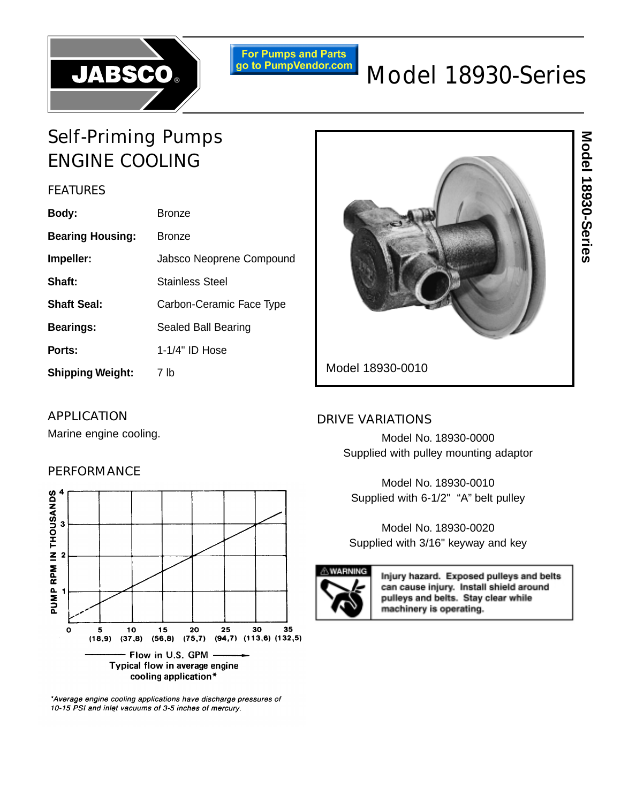

**For Pumps and Parts**<br>go to PumpVendor.com

# Model 18930-Series

## Self-Priming Pumps ENGINE COOLING

## **FEATURES**

| Body:                   | Bronze                   |  |
|-------------------------|--------------------------|--|
| <b>Bearing Housing:</b> | <b>Bronze</b>            |  |
| Impeller:               | Jabsco Neoprene Compound |  |
| Shaft:                  | <b>Stainless Steel</b>   |  |
| <b>Shaft Seal:</b>      | Carbon-Ceramic Face Type |  |
| <b>Bearings:</b>        | Sealed Ball Bearing      |  |
| Ports:                  | $1-1/4$ " ID Hose        |  |
| <b>Shipping Weight:</b> | 7 lb                     |  |



## APPLICATION

Marine engine cooling.

## PERFORMANCE



\*Average engine cooling applications have discharge pressures of 10-15 PSI and inlet vacuums of 3-5 inches of mercury.

## DRIVE VARIATIONS

Model No. 18930-0000 Supplied with pulley mounting adaptor

Model No. 18930-0010 Supplied with 6-1/2" "A" belt pulley

Model No. 18930-0020 Supplied with 3/16" keyway and key



Injury hazard. Exposed pulleys and belts can cause injury. Install shield around pulleys and belts. Stay clear while machinery is operating.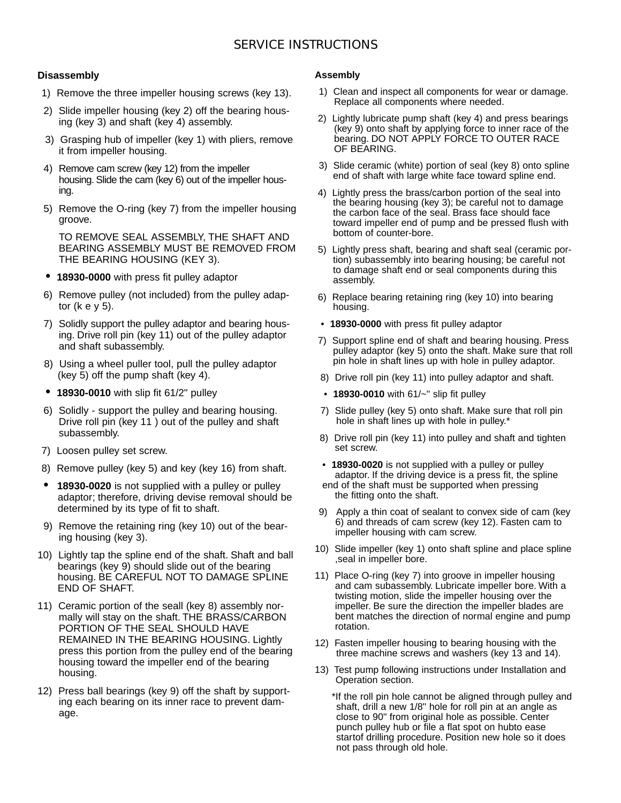## SERVICE INSTRUCTIONS

#### **Disassembly**

- 1) Remove the three impeller housing screws (key 13).
- 2) Slide impeller housing (key 2) off the bearing housing (key 3) and shaft (key 4) assembly.
- 3) Grasping hub of impeller (key 1) with pliers, remove it from impeller housing.
- 4) Remove cam screw (key 12) from the impeller housing. Slide the cam (key 6) out of the impeller housing.
- 5) Remove the O-ring (key 7) from the impeller housing groove.

TO REMOVE SEAL ASSEMBLY, THE SHAFT AND BEARING ASSEMBLY MUST BE REMOVED FROM THE BEARING HOUSING (KEY 3).

- **18930-0000** with press fit pulley adaptor
- 6) Remove pulley (not included) from the pulley adaptor (k e y 5).
- 7) Solidly support the pulley adaptor and bearing housing. Drive roll pin (key 11) out of the pulley adaptor and shaft subassembly.
- 8) Using a wheel puller tool, pull the pulley adaptor (key 5) off the pump shaft (key 4).
- **18930-0010** with slip fit 61/2" pulley
- 6) Solidly support the pulley and bearing housing. Drive roll pin (key 11 ) out of the pulley and shaft subassembly.
- 7) Loosen pulley set screw.
- 8) Remove pulley (key 5) and key (key 16) from shaft.
- **18930-0020** is not supplied with a pulley or pulley adaptor; therefore, driving devise removal should be determined by its type of fit to shaft.
- 9) Remove the retaining ring (key 10) out of the bearing housing (key 3).
- 10) Lightly tap the spline end of the shaft. Shaft and ball bearings (key 9) should slide out of the bearing housing. BE CAREFUL NOT TO DAMAGE SPLINE END OF SHAFT.
- 11) Ceramic portion of the seall (key 8) assembly normally will stay on the shaft. THE BRASS/CARBON PORTION OF THE SEAL SHOULD HAVE REMAINED IN THE BEARING HOUSING. Lightly press this portion from the pulley end of the bearing housing toward the impeller end of the bearing housing.
- 12) Press ball bearings (key 9) off the shaft by supporting each bearing on its inner race to prevent damage.

#### **Assembly**

- 1) Clean and inspect all components for wear or damage. Replace all components where needed.
- 2) Lightly lubricate pump shaft (key 4) and press bearings (key 9) onto shaft by applying force to inner race of the bearing. DO NOT APPLY FORCE TO OUTER RACE OF BEARING.
- 3) Slide ceramic (white) portion of seal (key 8) onto spline end of shaft with large white face toward spline end.
- 4) Lightly press the brass/carbon portion of the seal into the bearing housing (key 3); be careful not to damage the carbon face of the seal. Brass face should face toward impeller end of pump and be pressed flush with bottom of counter-bore.
- 5) Lightly press shaft, bearing and shaft seal (ceramic portion) subassembly into bearing housing; be careful not to damage shaft end or seal components during this assembly.
- 6) Replace bearing retaining ring (key 10) into bearing housing.
- **18930-0000** with press fit pulley adaptor
- 7) Support spline end of shaft and bearing housing. Press pulley adaptor (key 5) onto the shaft. Make sure that roll pin hole in shaft lines up with hole in pulley adaptor.
- 8) Drive roll pin (key 11) into pulley adaptor and shaft.
- **18930-0010** with 61/~" slip fit pulley
- 7) Slide pulley (key 5) onto shaft. Make sure that roll pin hole in shaft lines up with hole in pulley.\*
- 8) Drive roll pin (key 11) into pulley and shaft and tighten set screw.
- **18930-0020** is not supplied with a pulley or pulley adaptor. If the driving device is a press fit, the spline end of the shaft must be supported when pressing the fitting onto the shaft.
- 9) Apply a thin coat of sealant to convex side of cam (key 6) and threads of cam screw (key 12). Fasten cam to impeller housing with cam screw.
- 10) Slide impeller (key 1) onto shaft spline and place spline ,seal in impeller bore.
- 11) Place O-ring (key 7) into groove in impeller housing and cam subassembly. Lubricate impeller bore. With a twisting motion, slide the impeller housing over the impeller. Be sure the direction the impeller blades are bent matches the direction of normal engine and pump rotation.
- 12) Fasten impeller housing to bearing housing with the three machine screws and washers (key 13 and 14).
- 13) Test pump following instructions under Installation and Operation section.

\*If the roll pin hole cannot be aligned through pulley and shaft, drill a new 1/8" hole for roll pin at an angle as close to 90" from original hole as possible. Center punch pulley hub or file a flat spot on hubto ease startof drilling procedure. Position new hole so it does not pass through old hole.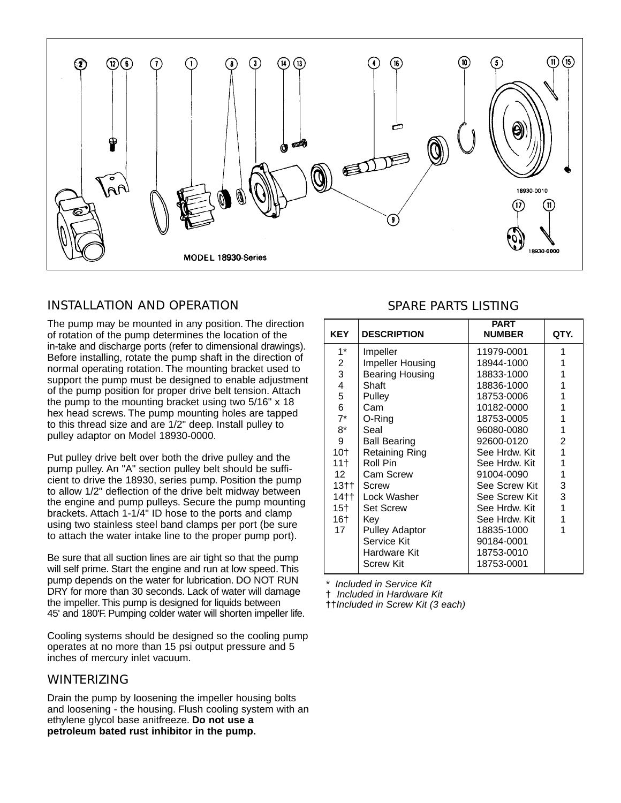

## INSTALLATION AND OPERATION

The pump may be mounted in any position. The direction of rotation of the pump determines the location of the in-take and discharge ports (refer to dimensional drawings). Before installing, rotate the pump shaft in the direction of normal operating rotation. The mounting bracket used to support the pump must be designed to enable adjustment of the pump position for proper drive belt tension. Attach the pump to the mounting bracket using two 5/16" x 18 hex head screws. The pump mounting holes are tapped to this thread size and are 1/2" deep. Install pulley to pulley adaptor on Model 18930-0000.

Put pulley drive belt over both the drive pulley and the pump pulley. An "A" section pulley belt should be sufficient to drive the 18930, series pump. Position the pump to allow 1/2" deflection of the drive belt midway between the engine and pump pulleys. Secure the pump mounting brackets. Attach 1-1/4" ID hose to the ports and clamp using two stainless steel band clamps per port (be sure to attach the water intake line to the proper pump port).

Be sure that all suction lines are air tight so that the pump will self prime. Start the engine and run at low speed. This pump depends on the water for lubrication. DO NOT RUN DRY for more than 30 seconds. Lack of water will damage the impeller. This pump is designed for liquids between 45' and 180'F. Pumping colder water will shorten impeller life.

Cooling systems should be designed so the cooling pump operates at no more than 15 psi output pressure and 5 inches of mercury inlet vacuum.

## WINTERIZING

Drain the pump by loosening the impeller housing bolts and loosening - the housing. Flush cooling system with an ethylene glycol base anitfreeze. **Do not use a petroleum bated rust inhibitor in the pump.**

## SPARE PARTS LISTING

| <b>KEY</b>      | <b>DESCRIPTION</b>     | <b>PART</b><br><b>NUMBER</b> | QTY. |
|-----------------|------------------------|------------------------------|------|
| $1^*$           | Impeller               | 11979-0001                   | 1    |
| 2               | Impeller Housing       | 18944-1000                   | 1    |
| 3               | <b>Bearing Housing</b> | 18833-1000                   | 1    |
| 4               | Shaft                  | 18836-1000                   | 1    |
| 5               | Pulley                 | 18753-0006                   | 1    |
| 6               | Cam                    | 10182-0000                   | 1    |
| $7^*$           | O-Ring                 | 18753-0005                   | 1    |
| $8*$            | Seal                   | 96080-0080                   | 1    |
| 9               | <b>Ball Bearing</b>    | 92600-0120                   | 2    |
| 10†             | Retaining Ring         | See Hrdw. Kit                | 1    |
| 11 <sup>†</sup> | Roll Pin               | See Hrdw. Kit                | 1    |
| 12              | <b>Cam Screw</b>       | 91004-0090                   | 1    |
| 13††            | Screw                  | See Screw Kit                | 3    |
| 14 <sup>†</sup> | Lock Washer            | See Screw Kit                | 3    |
| 15†             | <b>Set Screw</b>       | See Hrdw. Kit                | 1    |
| 16†             | Kev                    | See Hrdw. Kit                | 1    |
| 17              | <b>Pulley Adaptor</b>  | 18835-1000                   | 1    |
|                 | Service Kit            | 90184-0001                   |      |
|                 | Hardware Kit           | 18753-0010                   |      |
|                 | Screw Kit              | 18753-0001                   |      |

Included in Service Kit

† Included in Hardware Kit

††Included in Screw Kit (3 each)